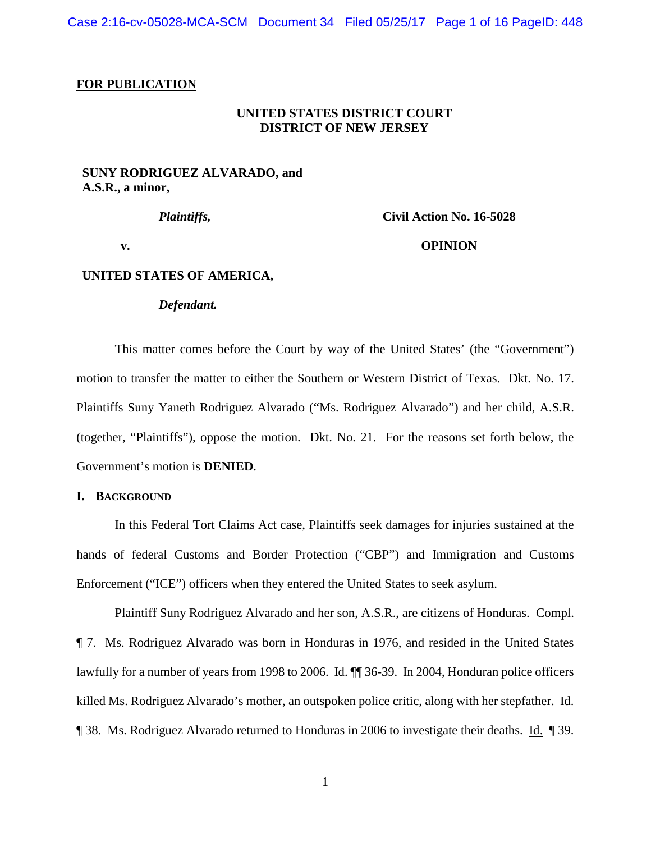Case 2:16-cv-05028-MCA-SCM Document 34 Filed 05/25/17 Page 1 of 16 PageID: 448

## **FOR PUBLICATION**

# **UNITED STATES DISTRICT COURT DISTRICT OF NEW JERSEY**

# **SUNY RODRIGUEZ ALVARADO, and A.S.R., a minor,**

*Plaintiffs,*

**Civil Action No. 16-5028**

**v.**

**OPINION**

# **UNITED STATES OF AMERICA,**

*Defendant.*

This matter comes before the Court by way of the United States' (the "Government") motion to transfer the matter to either the Southern or Western District of Texas. Dkt. No. 17. Plaintiffs Suny Yaneth Rodriguez Alvarado ("Ms. Rodriguez Alvarado") and her child, A.S.R. (together, "Plaintiffs"), oppose the motion. Dkt. No. 21. For the reasons set forth below, the Government's motion is **DENIED**.

### **I. BACKGROUND**

In this Federal Tort Claims Act case, Plaintiffs seek damages for injuries sustained at the hands of federal Customs and Border Protection ("CBP") and Immigration and Customs Enforcement ("ICE") officers when they entered the United States to seek asylum.

Plaintiff Suny Rodriguez Alvarado and her son, A.S.R., are citizens of Honduras. Compl. ¶ 7. Ms. Rodriguez Alvarado was born in Honduras in 1976, and resided in the United States lawfully for a number of years from 1998 to 2006. Id.  $\P$  36-39. In 2004, Honduran police officers killed Ms. Rodriguez Alvarado's mother, an outspoken police critic, along with her stepfather. Id. ¶ 38. Ms. Rodriguez Alvarado returned to Honduras in 2006 to investigate their deaths. Id. ¶ 39.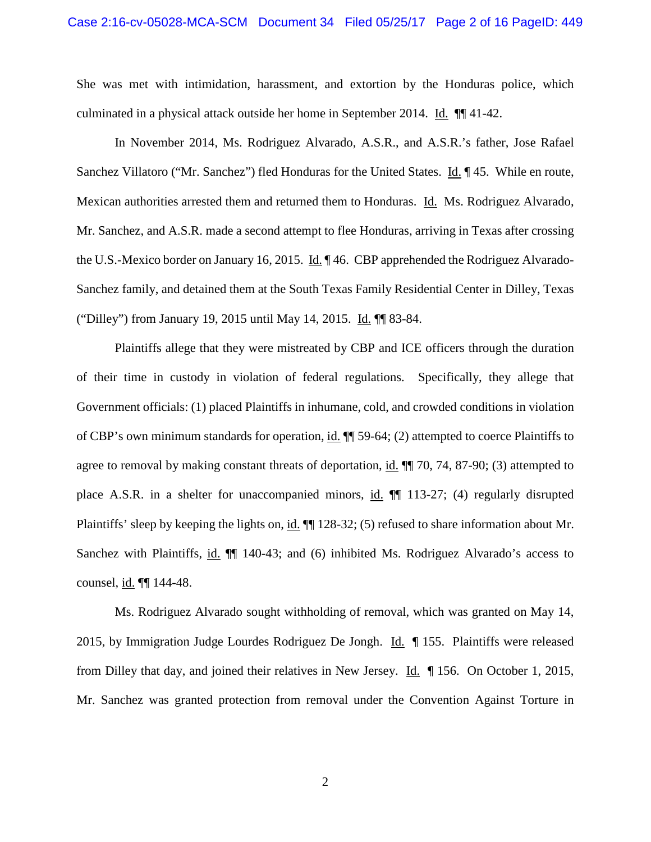She was met with intimidation, harassment, and extortion by the Honduras police, which culminated in a physical attack outside her home in September 2014. Id. ¶¶ 41-42.

In November 2014, Ms. Rodriguez Alvarado, A.S.R., and A.S.R.'s father, Jose Rafael Sanchez Villatoro ("Mr. Sanchez") fled Honduras for the United States. Id. ¶ 45. While en route, Mexican authorities arrested them and returned them to Honduras. Id. Ms. Rodriguez Alvarado, Mr. Sanchez, and A.S.R. made a second attempt to flee Honduras, arriving in Texas after crossing the U.S.-Mexico border on January 16, 2015. Id. ¶ 46. CBP apprehended the Rodriguez Alvarado-Sanchez family, and detained them at the South Texas Family Residential Center in Dilley, Texas ("Dilley") from January 19, 2015 until May 14, 2015. Id. ¶¶ 83-84.

Plaintiffs allege that they were mistreated by CBP and ICE officers through the duration of their time in custody in violation of federal regulations. Specifically, they allege that Government officials: (1) placed Plaintiffs in inhumane, cold, and crowded conditions in violation of CBP's own minimum standards for operation, id. ¶¶ 59-64; (2) attempted to coerce Plaintiffs to agree to removal by making constant threats of deportation, id.  $\P$  70, 74, 87-90; (3) attempted to place A.S.R. in a shelter for unaccompanied minors, id.  $\P$  113-27; (4) regularly disrupted Plaintiffs' sleep by keeping the lights on, id. ¶¶ 128-32; (5) refused to share information about Mr. Sanchez with Plaintiffs, id.  $\P$  140-43; and (6) inhibited Ms. Rodriguez Alvarado's access to counsel, id. ¶¶ 144-48.

Ms. Rodriguez Alvarado sought withholding of removal, which was granted on May 14, 2015, by Immigration Judge Lourdes Rodriguez De Jongh. Id. ¶ 155. Plaintiffs were released from Dilley that day, and joined their relatives in New Jersey. Id. ¶ 156. On October 1, 2015, Mr. Sanchez was granted protection from removal under the Convention Against Torture in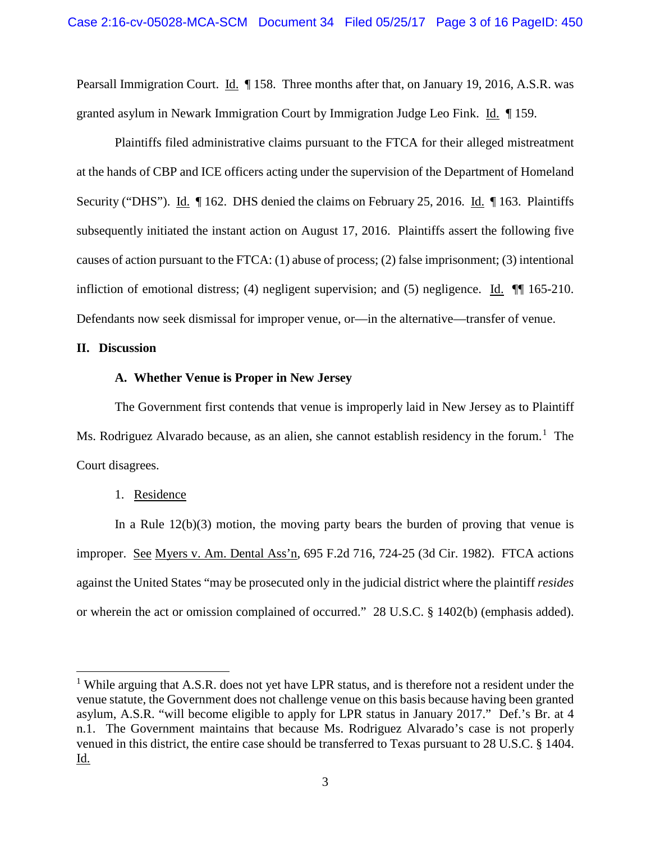Pearsall Immigration Court. Id. ¶ 158. Three months after that, on January 19, 2016, A.S.R. was granted asylum in Newark Immigration Court by Immigration Judge Leo Fink. Id. ¶ 159.

Plaintiffs filed administrative claims pursuant to the FTCA for their alleged mistreatment at the hands of CBP and ICE officers acting under the supervision of the Department of Homeland Security ("DHS"). Id. ¶ 162. DHS denied the claims on February 25, 2016. Id. ¶ 163. Plaintiffs subsequently initiated the instant action on August 17, 2016. Plaintiffs assert the following five causes of action pursuant to the FTCA: (1) abuse of process; (2) false imprisonment; (3) intentional infliction of emotional distress; (4) negligent supervision; and (5) negligence. Id. ¶¶ 165-210. Defendants now seek dismissal for improper venue, or—in the alternative—transfer of venue.

# **II. Discussion**

l

## **A. Whether Venue is Proper in New Jersey**

The Government first contends that venue is improperly laid in New Jersey as to Plaintiff Ms. Rodriguez Alvarado because, as an alien, she cannot establish residency in the forum.<sup>[1](#page-2-0)</sup> The Court disagrees.

## 1. Residence

In a Rule  $12(b)(3)$  motion, the moving party bears the burden of proving that venue is improper. See Myers v. Am. Dental Ass'n, 695 F.2d 716, 724-25 (3d Cir. 1982). FTCA actions against the United States "may be prosecuted only in the judicial district where the plaintiff *resides* or wherein the act or omission complained of occurred." 28 U.S.C. § 1402(b) (emphasis added).

<span id="page-2-0"></span><sup>&</sup>lt;sup>1</sup> While arguing that A.S.R. does not yet have LPR status, and is therefore not a resident under the venue statute, the Government does not challenge venue on this basis because having been granted asylum, A.S.R. "will become eligible to apply for LPR status in January 2017." Def.'s Br. at 4 n.1. The Government maintains that because Ms. Rodriguez Alvarado's case is not properly venued in this district, the entire case should be transferred to Texas pursuant to 28 U.S.C. § 1404. Id.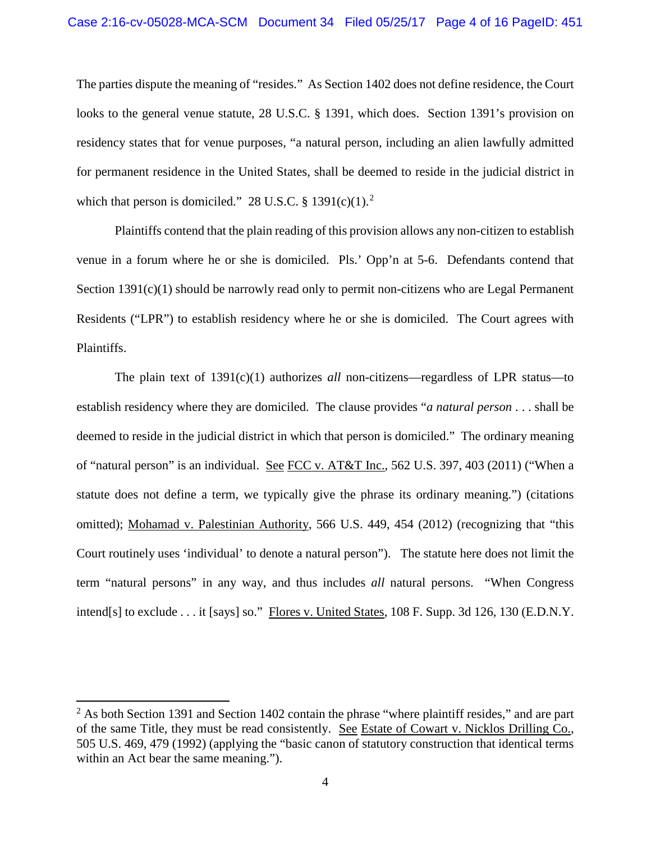The parties dispute the meaning of "resides." As Section 1402 does not define residence, the Court looks to the general venue statute, 28 U.S.C. § 1391, which does. Section 1391's provision on residency states that for venue purposes, "a natural person, including an alien lawfully admitted for permanent residence in the United States, shall be deemed to reside in the judicial district in which that person is domiciled." [2](#page-3-0)8 U.S.C. § 1391(c)(1).<sup>2</sup>

Plaintiffs contend that the plain reading of this provision allows any non-citizen to establish venue in a forum where he or she is domiciled. Pls.' Opp'n at 5-6. Defendants contend that Section 1391(c)(1) should be narrowly read only to permit non-citizens who are Legal Permanent Residents ("LPR") to establish residency where he or she is domiciled. The Court agrees with Plaintiffs.

The plain text of 1391(c)(1) authorizes *all* non-citizens—regardless of LPR status—to establish residency where they are domiciled. The clause provides "*a natural person* . . . shall be deemed to reside in the judicial district in which that person is domiciled." The ordinary meaning of "natural person" is an individual. See FCC v. AT&T Inc., 562 U.S. 397, 403 (2011) ("When a statute does not define a term, we typically give the phrase its ordinary meaning.") (citations omitted); Mohamad v. Palestinian Authority, 566 U.S. 449, 454 (2012) (recognizing that "this Court routinely uses 'individual' to denote a natural person"). The statute here does not limit the term "natural persons" in any way, and thus includes *all* natural persons. "When Congress intend[s] to exclude . . . it [says] so." Flores v. United States, 108 F. Supp. 3d 126, 130 (E.D.N.Y.

 $\overline{\phantom{a}}$ 

<span id="page-3-0"></span> $2$  As both Section 1391 and Section 1402 contain the phrase "where plaintiff resides," and are part of the same Title, they must be read consistently. See Estate of Cowart v. Nicklos Drilling Co., 505 U.S. 469, 479 (1992) (applying the "basic canon of statutory construction that identical terms within an Act bear the same meaning.").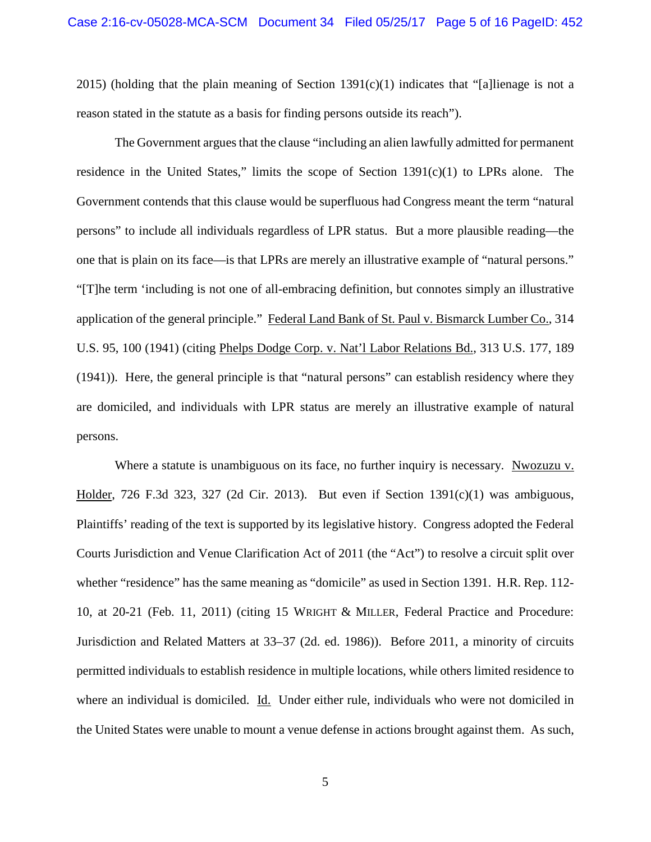2015) (holding that the plain meaning of Section 1391(c)(1) indicates that "[a]lienage is not a reason stated in the statute as a basis for finding persons outside its reach").

The Government argues that the clause "including an alien lawfully admitted for permanent residence in the United States," limits the scope of Section 1391(c)(1) to LPRs alone. The Government contends that this clause would be superfluous had Congress meant the term "natural persons" to include all individuals regardless of LPR status. But a more plausible reading—the one that is plain on its face—is that LPRs are merely an illustrative example of "natural persons." "[T]he term 'including is not one of all-embracing definition, but connotes simply an illustrative application of the general principle." Federal Land Bank of St. Paul v. Bismarck Lumber Co., 314 U.S. 95, 100 (1941) (citing Phelps Dodge Corp. v. Nat'l Labor Relations Bd., 313 U.S. 177, 189 (1941)). Here, the general principle is that "natural persons" can establish residency where they are domiciled, and individuals with LPR status are merely an illustrative example of natural persons.

Where a statute is unambiguous on its face, no further inquiry is necessary. Nwozuzu v. Holder, 726 F.3d 323, 327 (2d Cir. 2013). But even if Section 1391(c)(1) was ambiguous, Plaintiffs' reading of the text is supported by its legislative history. Congress adopted the Federal Courts Jurisdiction and Venue Clarification Act of 2011 (the "Act") to resolve a circuit split over whether "residence" has the same meaning as "domicile" as used in Section 1391. H.R. Rep. 112- 10, at 20-21 (Feb. 11, 2011) (citing 15 WRIGHT & MILLER, Federal Practice and Procedure: Jurisdiction and Related Matters at 33–37 (2d. ed. 1986)). Before 2011, a minority of circuits permitted individuals to establish residence in multiple locations, while others limited residence to where an individual is domiciled. Id. Under either rule, individuals who were not domiciled in the United States were unable to mount a venue defense in actions brought against them. As such,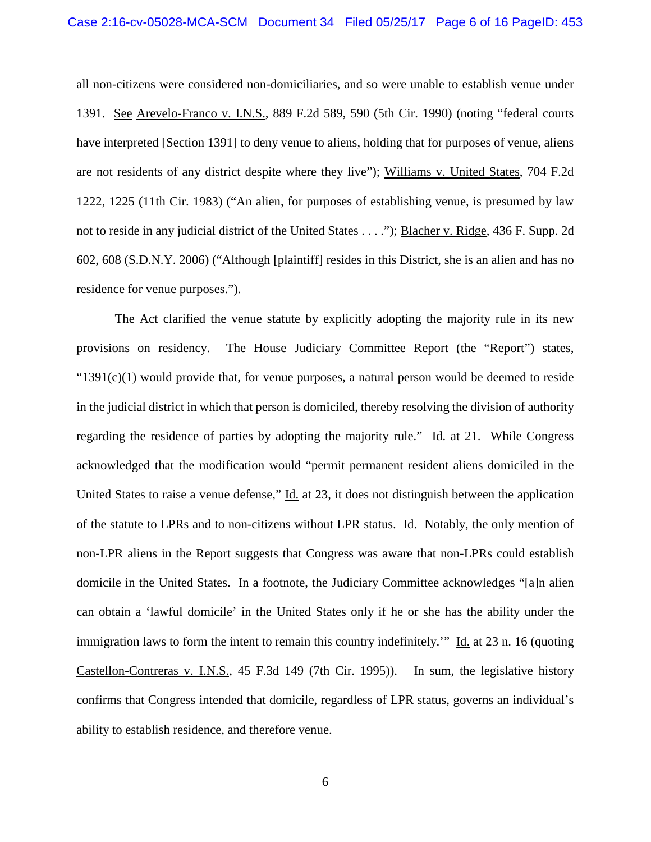all non-citizens were considered non-domiciliaries, and so were unable to establish venue under 1391. See Arevelo-Franco v. I.N.S., 889 F.2d 589, 590 (5th Cir. 1990) (noting "federal courts have interpreted [Section 1391] to deny venue to aliens, holding that for purposes of venue, aliens are not residents of any district despite where they live"); Williams v. United States, 704 F.2d 1222, 1225 (11th Cir. 1983) ("An alien, for purposes of establishing venue, is presumed by law not to reside in any judicial district of the United States . . . ."); Blacher v. Ridge, 436 F. Supp. 2d 602, 608 (S.D.N.Y. 2006) ("Although [plaintiff] resides in this District, she is an alien and has no residence for venue purposes.").

The Act clarified the venue statute by explicitly adopting the majority rule in its new provisions on residency. The House Judiciary Committee Report (the "Report") states, " $1391(c)(1)$  would provide that, for venue purposes, a natural person would be deemed to reside in the judicial district in which that person is domiciled, thereby resolving the division of authority regarding the residence of parties by adopting the majority rule." Id. at 21. While Congress acknowledged that the modification would "permit permanent resident aliens domiciled in the United States to raise a venue defense," Id. at 23, it does not distinguish between the application of the statute to LPRs and to non-citizens without LPR status. Id. Notably, the only mention of non-LPR aliens in the Report suggests that Congress was aware that non-LPRs could establish domicile in the United States. In a footnote, the Judiciary Committee acknowledges "[a]n alien can obtain a 'lawful domicile' in the United States only if he or she has the ability under the immigration laws to form the intent to remain this country indefinitely.'" Id. at 23 n. 16 (quoting Castellon-Contreras v. I.N.S., 45 F.3d 149 (7th Cir. 1995)). In sum, the legislative history confirms that Congress intended that domicile, regardless of LPR status, governs an individual's ability to establish residence, and therefore venue.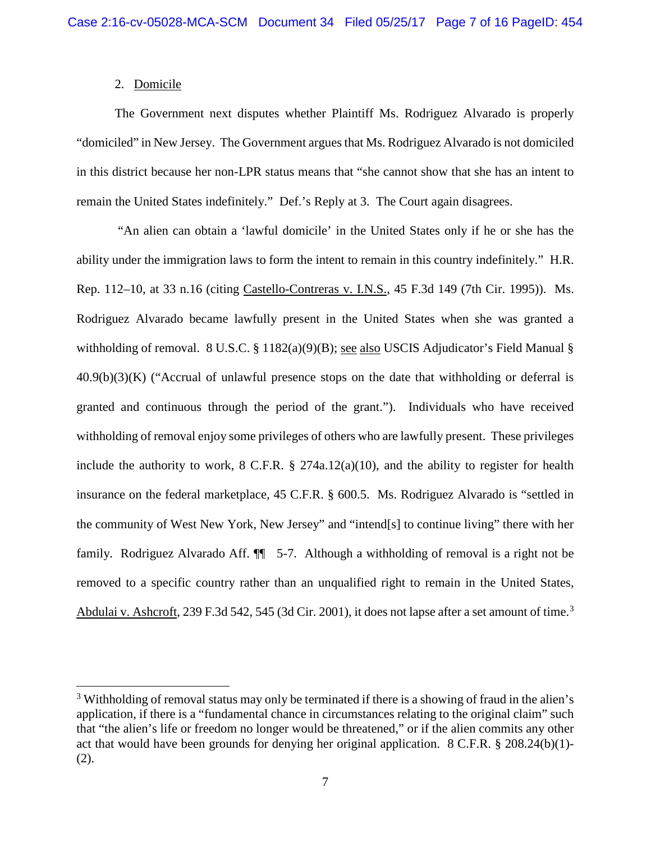# 2. Domicile

l

The Government next disputes whether Plaintiff Ms. Rodriguez Alvarado is properly "domiciled" in New Jersey. The Government argues that Ms. Rodriguez Alvarado is not domiciled in this district because her non-LPR status means that "she cannot show that she has an intent to remain the United States indefinitely." Def.'s Reply at 3. The Court again disagrees.

"An alien can obtain a 'lawful domicile' in the United States only if he or she has the ability under the immigration laws to form the intent to remain in this country indefinitely." H.R. Rep. 112–10, at 33 n.16 (citing Castello-Contreras v. I.N.S., 45 F.3d 149 (7th Cir. 1995)). Ms. Rodriguez Alvarado became lawfully present in the United States when she was granted a withholding of removal.  $8 \text{ U.S.C.} \$  $8 \text{ 1182(a)(9)(B)}$ ; see also USCIS Adjudicator's Field Manual §  $40.9(b)(3)(K)$  ("Accrual of unlawful presence stops on the date that withholding or deferral is granted and continuous through the period of the grant."). Individuals who have received withholding of removal enjoy some privileges of others who are lawfully present. These privileges include the authority to work, 8 C.F.R. § 274a.12(a)(10), and the ability to register for health insurance on the federal marketplace, 45 C.F.R. § 600.5. Ms. Rodriguez Alvarado is "settled in the community of West New York, New Jersey" and "intend[s] to continue living" there with her family. Rodriguez Alvarado Aff.  $\P$  5-7. Although a withholding of removal is a right not be removed to a specific country rather than an unqualified right to remain in the United States, Abdulai v. Ashcroft, 2[3](#page-6-0)9 F.3d 542, 545 (3d Cir. 2001), it does not lapse after a set amount of time.<sup>3</sup>

<span id="page-6-0"></span><sup>&</sup>lt;sup>3</sup> Withholding of removal status may only be terminated if there is a showing of fraud in the alien's application, if there is a "fundamental chance in circumstances relating to the original claim" such that "the alien's life or freedom no longer would be threatened," or if the alien commits any other act that would have been grounds for denying her original application. 8 C.F.R. § 208.24(b)(1)- (2).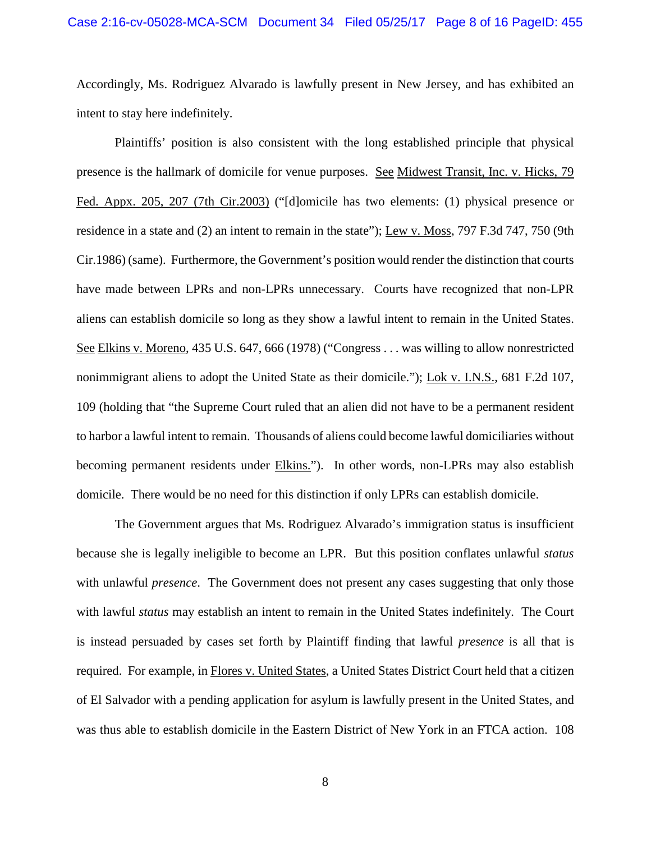Accordingly, Ms. Rodriguez Alvarado is lawfully present in New Jersey, and has exhibited an intent to stay here indefinitely.

Plaintiffs' position is also consistent with the long established principle that physical presence is the hallmark of domicile for venue purposes. See Midwest Transit, Inc. v. Hicks, 79 Fed. Appx. 205, 207 (7th Cir.2003) ("[d]omicile has two elements: (1) physical presence or residence in a state and (2) an intent to remain in the state"); Lew v. Moss, 797 F.3d 747, 750 (9th Cir.1986) (same). Furthermore, the Government's position would render the distinction that courts have made between LPRs and non-LPRs unnecessary. Courts have recognized that non-LPR aliens can establish domicile so long as they show a lawful intent to remain in the United States. See Elkins v. Moreno, 435 U.S. 647, 666 (1978) ("Congress . . . was willing to allow nonrestricted nonimmigrant aliens to adopt the United State as their domicile."); Lok v. I.N.S., 681 F.2d 107, 109 (holding that "the Supreme Court ruled that an alien did not have to be a permanent resident to harbor a lawful intent to remain. Thousands of aliens could become lawful domiciliaries without becoming permanent residents under **Elkins.**"). In other words, non-LPRs may also establish domicile. There would be no need for this distinction if only LPRs can establish domicile.

The Government argues that Ms. Rodriguez Alvarado's immigration status is insufficient because she is legally ineligible to become an LPR. But this position conflates unlawful *status* with unlawful *presence*. The Government does not present any cases suggesting that only those with lawful *status* may establish an intent to remain in the United States indefinitely. The Court is instead persuaded by cases set forth by Plaintiff finding that lawful *presence* is all that is required. For example, in Flores v. United States, a United States District Court held that a citizen of El Salvador with a pending application for asylum is lawfully present in the United States, and was thus able to establish domicile in the Eastern District of New York in an FTCA action. 108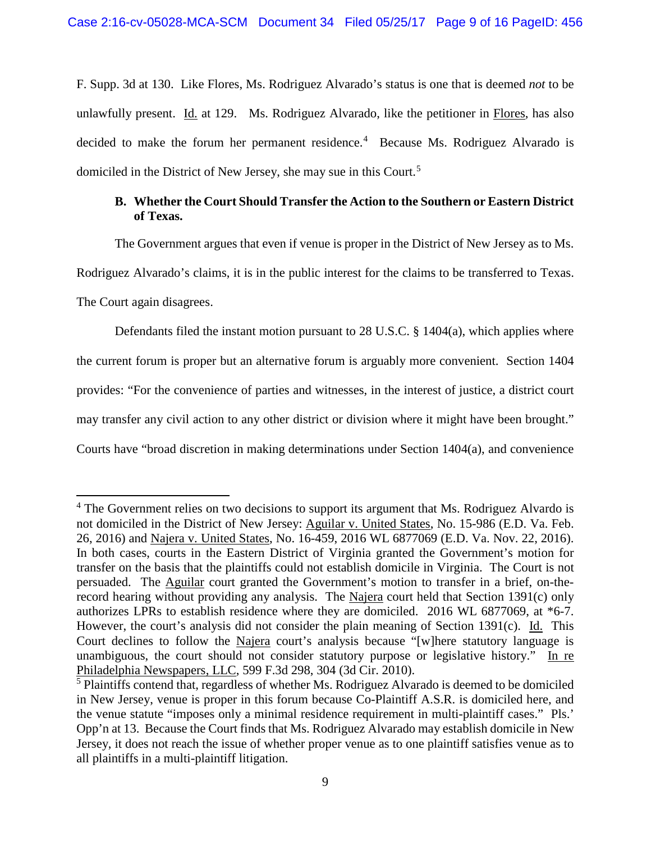F. Supp. 3d at 130. Like Flores, Ms. Rodriguez Alvarado's status is one that is deemed *not* to be unlawfully present. Id. at 129. Ms. Rodriguez Alvarado, like the petitioner in Flores, has also decided to make the forum her permanent residence.<sup>[4](#page-8-0)</sup> Because Ms. Rodriguez Alvarado is domiciled in the District of New Jersey, she may sue in this Court.[5](#page-8-1)

# **B. Whether the Court Should Transfer the Action to the Southern or Eastern District of Texas.**

The Government argues that even if venue is proper in the District of New Jersey as to Ms.

Rodriguez Alvarado's claims, it is in the public interest for the claims to be transferred to Texas.

The Court again disagrees.

 $\overline{\phantom{a}}$ 

Defendants filed the instant motion pursuant to 28 U.S.C. § 1404(a), which applies where the current forum is proper but an alternative forum is arguably more convenient. Section 1404 provides: "For the convenience of parties and witnesses, in the interest of justice, a district court may transfer any civil action to any other district or division where it might have been brought." Courts have "broad discretion in making determinations under Section 1404(a), and convenience

<span id="page-8-0"></span><sup>&</sup>lt;sup>4</sup> The Government relies on two decisions to support its argument that Ms. Rodriguez Alvardo is not domiciled in the District of New Jersey: Aguilar v. United States, No. 15-986 (E.D. Va. Feb. 26, 2016) and Najera v. United States, No. 16-459, 2016 WL 6877069 (E.D. Va. Nov. 22, 2016). In both cases, courts in the Eastern District of Virginia granted the Government's motion for transfer on the basis that the plaintiffs could not establish domicile in Virginia. The Court is not persuaded. The Aguilar court granted the Government's motion to transfer in a brief, on-therecord hearing without providing any analysis. The Najera court held that Section 1391(c) only authorizes LPRs to establish residence where they are domiciled. 2016 WL 6877069, at \*6-7. However, the court's analysis did not consider the plain meaning of Section 1391(c). Id. This Court declines to follow the Najera court's analysis because "[w]here statutory language is unambiguous, the court should not consider statutory purpose or legislative history." In re Philadelphia Newspapers, LLC, 599 F.3d 298, 304 (3d Cir. 2010).

<span id="page-8-1"></span><sup>&</sup>lt;sup>5</sup> Plaintiffs contend that, regardless of whether Ms. Rodriguez Alvarado is deemed to be domiciled in New Jersey, venue is proper in this forum because Co-Plaintiff A.S.R. is domiciled here, and the venue statute "imposes only a minimal residence requirement in multi-plaintiff cases." Pls.' Opp'n at 13. Because the Court finds that Ms. Rodriguez Alvarado may establish domicile in New Jersey, it does not reach the issue of whether proper venue as to one plaintiff satisfies venue as to all plaintiffs in a multi-plaintiff litigation.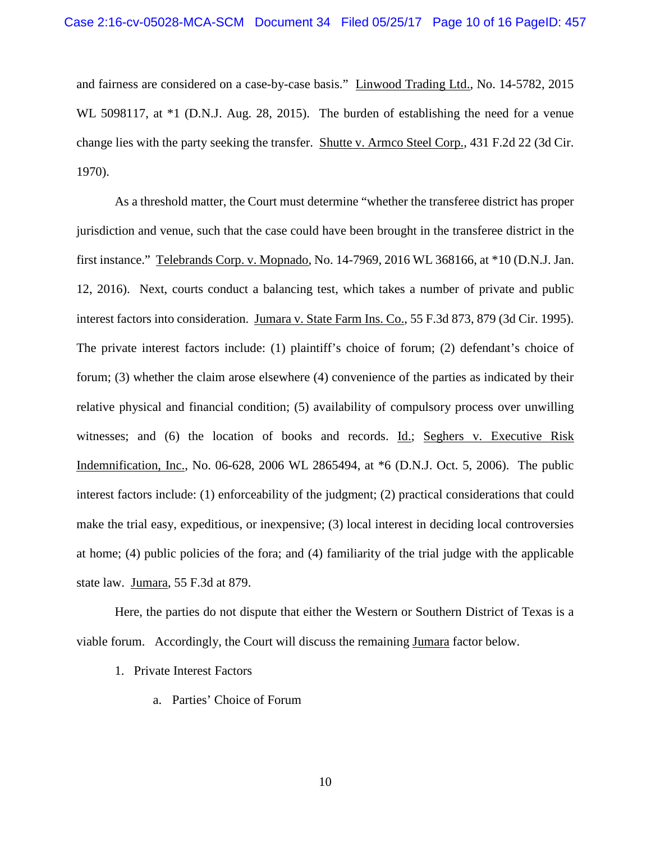and fairness are considered on a case-by-case basis." Linwood Trading Ltd., No. 14-5782, 2015 WL 5098117, at  $*1$  (D.N.J. Aug. 28, 2015). The burden of establishing the need for a venue change lies with the party seeking the transfer. Shutte v. Armco Steel Corp., 431 F.2d 22 (3d Cir. 1970).

As a threshold matter, the Court must determine "whether the transferee district has proper jurisdiction and venue, such that the case could have been brought in the transferee district in the first instance." Telebrands Corp. v. Mopnado, No. 14-7969, 2016 WL 368166, at \*10 (D.N.J. Jan. 12, 2016). Next, courts conduct a balancing test, which takes a number of private and public interest factors into consideration. Jumara v. State Farm Ins. Co., 55 F.3d 873, 879 (3d Cir. 1995). The private interest factors include: (1) plaintiff's choice of forum; (2) defendant's choice of forum; (3) whether the claim arose elsewhere (4) convenience of the parties as indicated by their relative physical and financial condition; (5) availability of compulsory process over unwilling witnesses; and (6) the location of books and records. Id.; Seghers v. Executive Risk Indemnification, Inc., No. 06-628, 2006 WL 2865494, at \*6 (D.N.J. Oct. 5, 2006). The public interest factors include: (1) enforceability of the judgment; (2) practical considerations that could make the trial easy, expeditious, or inexpensive; (3) local interest in deciding local controversies at home; (4) public policies of the fora; and (4) familiarity of the trial judge with the applicable state law. Jumara, 55 F.3d at 879.

Here, the parties do not dispute that either the Western or Southern District of Texas is a viable forum. Accordingly, the Court will discuss the remaining Jumara factor below.

- 1. Private Interest Factors
	- a. Parties' Choice of Forum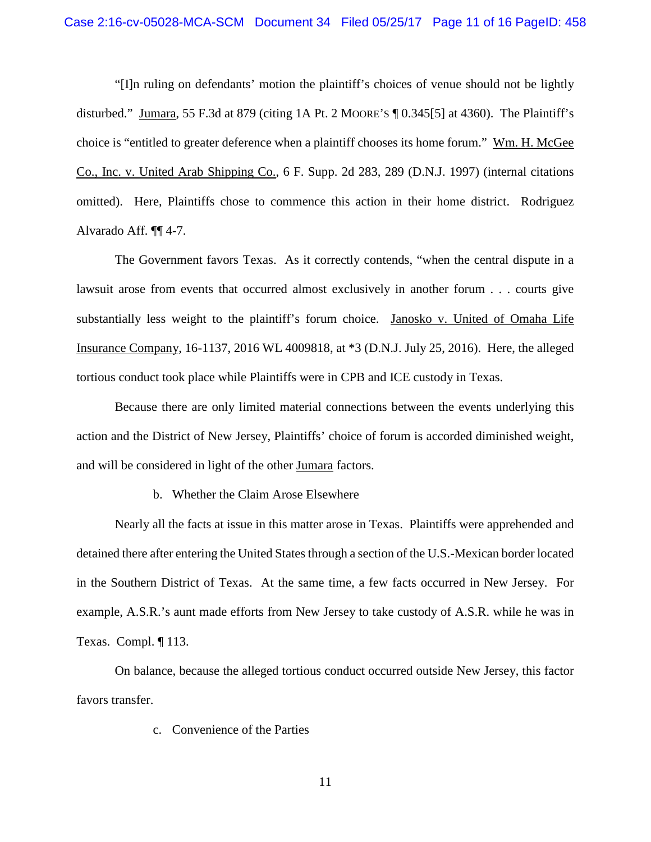"[I]n ruling on defendants' motion the plaintiff's choices of venue should not be lightly disturbed." Jumara, 55 F.3d at 879 (citing 1A Pt. 2 MOORE'S ¶ 0.345[5] at 4360). The Plaintiff's choice is "entitled to greater deference when a plaintiff chooses its home forum." Wm. H. McGee Co., Inc. v. United Arab Shipping Co., 6 F. Supp. 2d 283, 289 (D.N.J. 1997) (internal citations omitted). Here, Plaintiffs chose to commence this action in their home district. Rodriguez Alvarado Aff. ¶¶ 4-7.

The Government favors Texas. As it correctly contends, "when the central dispute in a lawsuit arose from events that occurred almost exclusively in another forum . . . courts give substantially less weight to the plaintiff's forum choice. Janosko v. United of Omaha Life Insurance Company, 16-1137, 2016 WL 4009818, at \*3 (D.N.J. July 25, 2016). Here, the alleged tortious conduct took place while Plaintiffs were in CPB and ICE custody in Texas.

Because there are only limited material connections between the events underlying this action and the District of New Jersey, Plaintiffs' choice of forum is accorded diminished weight, and will be considered in light of the other Jumara factors.

### b. Whether the Claim Arose Elsewhere

Nearly all the facts at issue in this matter arose in Texas. Plaintiffs were apprehended and detained there after entering the United States through a section of the U.S.-Mexican border located in the Southern District of Texas. At the same time, a few facts occurred in New Jersey. For example, A.S.R.'s aunt made efforts from New Jersey to take custody of A.S.R. while he was in Texas. Compl. ¶ 113.

On balance, because the alleged tortious conduct occurred outside New Jersey, this factor favors transfer.

c. Convenience of the Parties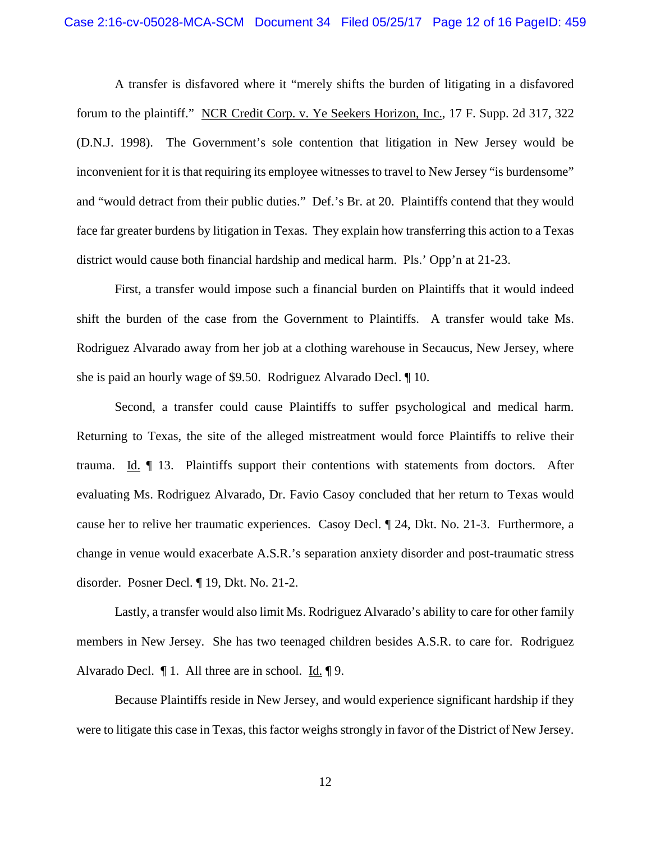A transfer is disfavored where it "merely shifts the burden of litigating in a disfavored forum to the plaintiff." NCR Credit Corp. v. Ye Seekers Horizon, Inc., 17 F. Supp. 2d 317, 322 (D.N.J. 1998). The Government's sole contention that litigation in New Jersey would be inconvenient for it is that requiring its employee witnesses to travel to New Jersey "is burdensome" and "would detract from their public duties." Def.'s Br. at 20. Plaintiffs contend that they would face far greater burdens by litigation in Texas. They explain how transferring this action to a Texas district would cause both financial hardship and medical harm. Pls.' Opp'n at 21-23.

First, a transfer would impose such a financial burden on Plaintiffs that it would indeed shift the burden of the case from the Government to Plaintiffs. A transfer would take Ms. Rodriguez Alvarado away from her job at a clothing warehouse in Secaucus, New Jersey, where she is paid an hourly wage of \$9.50. Rodriguez Alvarado Decl. ¶ 10.

Second, a transfer could cause Plaintiffs to suffer psychological and medical harm. Returning to Texas, the site of the alleged mistreatment would force Plaintiffs to relive their trauma. Id. ¶ 13. Plaintiffs support their contentions with statements from doctors. After evaluating Ms. Rodriguez Alvarado, Dr. Favio Casoy concluded that her return to Texas would cause her to relive her traumatic experiences. Casoy Decl. ¶ 24, Dkt. No. 21-3. Furthermore, a change in venue would exacerbate A.S.R.'s separation anxiety disorder and post-traumatic stress disorder. Posner Decl. ¶ 19, Dkt. No. 21-2.

Lastly, a transfer would also limit Ms. Rodriguez Alvarado's ability to care for other family members in New Jersey. She has two teenaged children besides A.S.R. to care for. Rodriguez Alvarado Decl. ¶ 1. All three are in school. Id. ¶ 9.

Because Plaintiffs reside in New Jersey, and would experience significant hardship if they were to litigate this case in Texas, this factor weighs strongly in favor of the District of New Jersey.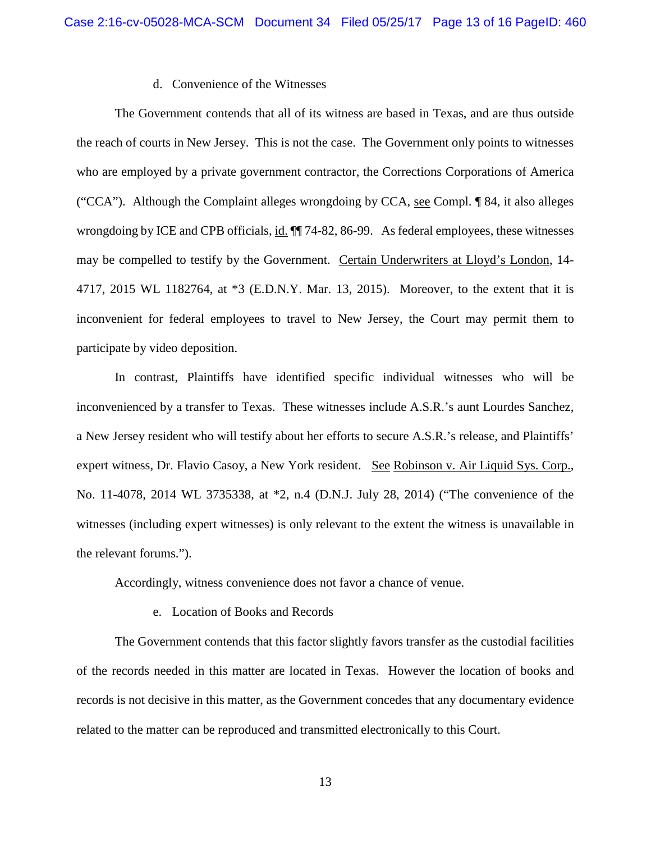### d. Convenience of the Witnesses

The Government contends that all of its witness are based in Texas, and are thus outside the reach of courts in New Jersey. This is not the case. The Government only points to witnesses who are employed by a private government contractor, the Corrections Corporations of America ("CCA"). Although the Complaint alleges wrongdoing by CCA, see Compl. ¶ 84, it also alleges wrongdoing by ICE and CPB officials, id. ¶¶ 74-82, 86-99. As federal employees, these witnesses may be compelled to testify by the Government. Certain Underwriters at Lloyd's London, 14- 4717, 2015 WL 1182764, at \*3 (E.D.N.Y. Mar. 13, 2015). Moreover, to the extent that it is inconvenient for federal employees to travel to New Jersey, the Court may permit them to participate by video deposition.

In contrast, Plaintiffs have identified specific individual witnesses who will be inconvenienced by a transfer to Texas. These witnesses include A.S.R.'s aunt Lourdes Sanchez, a New Jersey resident who will testify about her efforts to secure A.S.R.'s release, and Plaintiffs' expert witness, Dr. Flavio Casoy, a New York resident. See Robinson v. Air Liquid Sys. Corp., No. 11-4078, 2014 WL 3735338, at \*2, n.4 (D.N.J. July 28, 2014) ("The convenience of the witnesses (including expert witnesses) is only relevant to the extent the witness is unavailable in the relevant forums.").

Accordingly, witness convenience does not favor a chance of venue.

e. Location of Books and Records

The Government contends that this factor slightly favors transfer as the custodial facilities of the records needed in this matter are located in Texas. However the location of books and records is not decisive in this matter, as the Government concedes that any documentary evidence related to the matter can be reproduced and transmitted electronically to this Court.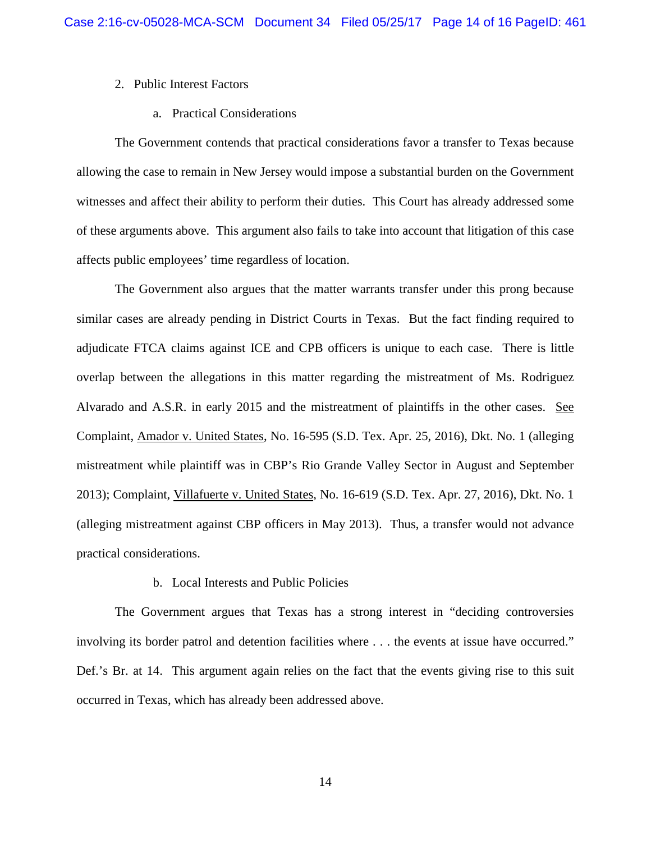## 2. Public Interest Factors

## a. Practical Considerations

The Government contends that practical considerations favor a transfer to Texas because allowing the case to remain in New Jersey would impose a substantial burden on the Government witnesses and affect their ability to perform their duties. This Court has already addressed some of these arguments above. This argument also fails to take into account that litigation of this case affects public employees' time regardless of location.

The Government also argues that the matter warrants transfer under this prong because similar cases are already pending in District Courts in Texas. But the fact finding required to adjudicate FTCA claims against ICE and CPB officers is unique to each case. There is little overlap between the allegations in this matter regarding the mistreatment of Ms. Rodriguez Alvarado and A.S.R. in early 2015 and the mistreatment of plaintiffs in the other cases. See Complaint, Amador v. United States, No. 16-595 (S.D. Tex. Apr. 25, 2016), Dkt. No. 1 (alleging mistreatment while plaintiff was in CBP's Rio Grande Valley Sector in August and September 2013); Complaint, Villafuerte v. United States, No. 16-619 (S.D. Tex. Apr. 27, 2016), Dkt. No. 1 (alleging mistreatment against CBP officers in May 2013). Thus, a transfer would not advance practical considerations.

## b. Local Interests and Public Policies

The Government argues that Texas has a strong interest in "deciding controversies involving its border patrol and detention facilities where . . . the events at issue have occurred." Def.'s Br. at 14. This argument again relies on the fact that the events giving rise to this suit occurred in Texas, which has already been addressed above.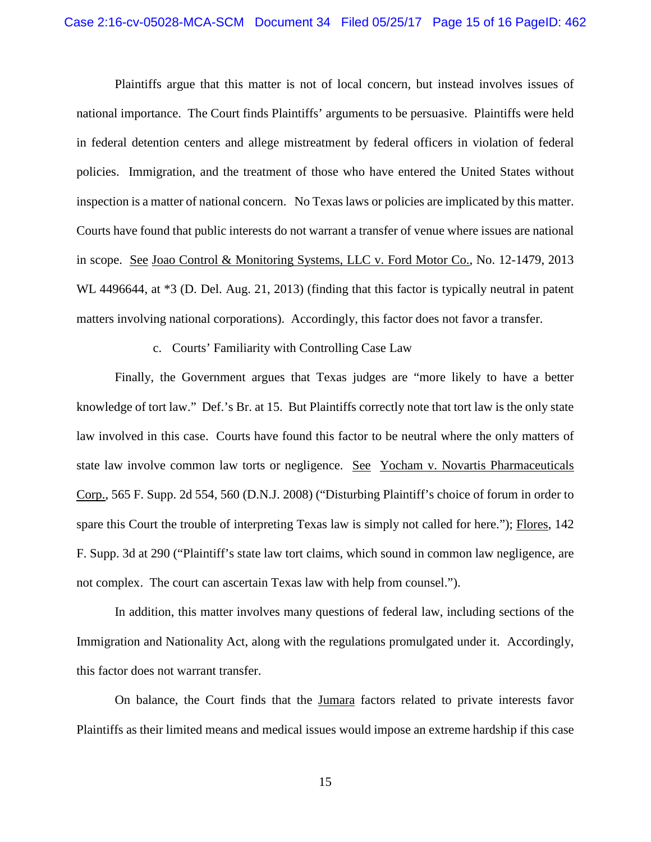Plaintiffs argue that this matter is not of local concern, but instead involves issues of national importance. The Court finds Plaintiffs' arguments to be persuasive. Plaintiffs were held in federal detention centers and allege mistreatment by federal officers in violation of federal policies. Immigration, and the treatment of those who have entered the United States without inspection is a matter of national concern. No Texas laws or policies are implicated by this matter. Courts have found that public interests do not warrant a transfer of venue where issues are national in scope. See Joao Control & Monitoring Systems, LLC v. Ford Motor Co., No. 12-1479, 2013 WL 4496644, at  $*3$  (D. Del. Aug. 21, 2013) (finding that this factor is typically neutral in patent matters involving national corporations). Accordingly, this factor does not favor a transfer.

## c. Courts' Familiarity with Controlling Case Law

Finally, the Government argues that Texas judges are "more likely to have a better knowledge of tort law." Def.'s Br. at 15. But Plaintiffs correctly note that tort law is the only state law involved in this case. Courts have found this factor to be neutral where the only matters of state law involve common law torts or negligence. See Yocham v. Novartis Pharmaceuticals Corp., 565 F. Supp. 2d 554, 560 (D.N.J. 2008) ("Disturbing Plaintiff's choice of forum in order to spare this Court the trouble of interpreting Texas law is simply not called for here."); Flores, 142 F. Supp. 3d at 290 ("Plaintiff's state law tort claims, which sound in common law negligence, are not complex. The court can ascertain Texas law with help from counsel.").

In addition, this matter involves many questions of federal law, including sections of the Immigration and Nationality Act, along with the regulations promulgated under it. Accordingly, this factor does not warrant transfer.

On balance, the Court finds that the Jumara factors related to private interests favor Plaintiffs as their limited means and medical issues would impose an extreme hardship if this case